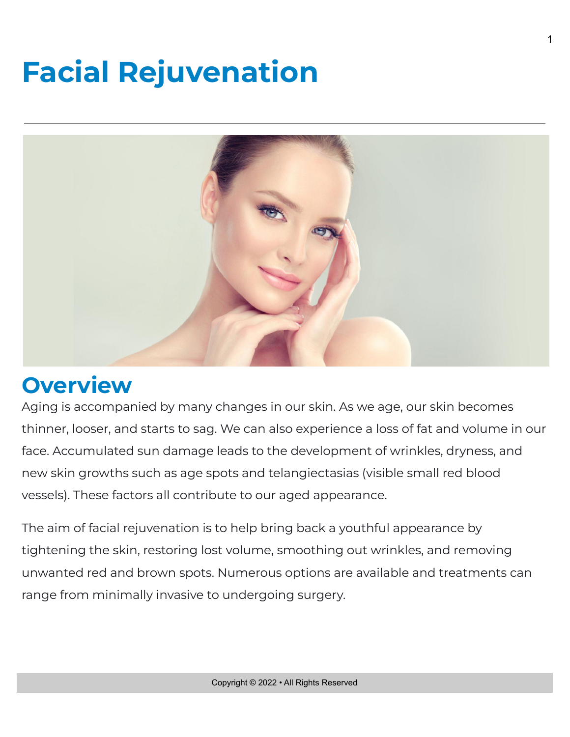# **Facial Rejuvenation**



## **Overview**

Aging is accompanied by many changes in our skin. As we age, our skin becomes thinner, looser, and starts to sag. We can also experience a loss of fat and volume in our face. Accumulated sun damage leads to the development of wrinkles, dryness, and new skin growths such as age spots and telangiectasias (visible small red blood vessels). These factors all contribute to our aged appearance.

The aim of facial rejuvenation is to help bring back a youthful appearance by tightening the skin, restoring lost volume, smoothing out wrinkles, and removing unwanted red and brown spots. Numerous options are available and treatments can range from minimally invasive to undergoing surgery.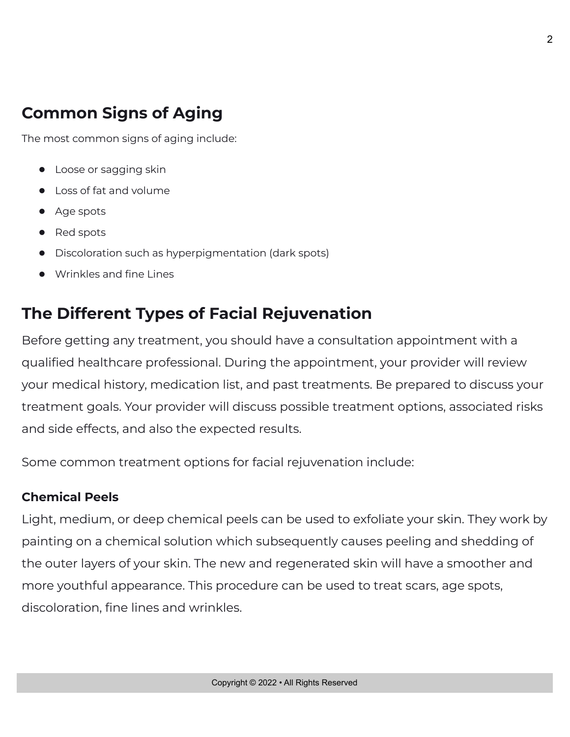## **Common Signs of Aging**

The most common signs of aging include:

- Loose or sagging skin
- Loss of fat and volume
- Age spots
- Red spots
- Discoloration such as hyperpigmentation (dark spots)
- Wrinkles and fine Lines

### **The Different Types of Facial Rejuvenation**

Before getting any treatment, you should have a consultation appointment with a qualified healthcare professional. During the appointment, your provider will review your medical history, medication list, and past treatments. Be prepared to discuss your treatment goals. Your provider will discuss possible treatment options, associated risks and side effects, and also the expected results.

Some common treatment options for facial rejuvenation include:

#### **Chemical Peels**

Light, medium, or deep chemical peels can be used to exfoliate your skin. They work by painting on a chemical solution which subsequently causes peeling and shedding of the outer layers of your skin. The new and regenerated skin will have a smoother and more youthful appearance. This procedure can be used to treat scars, age spots, discoloration, fine lines and wrinkles.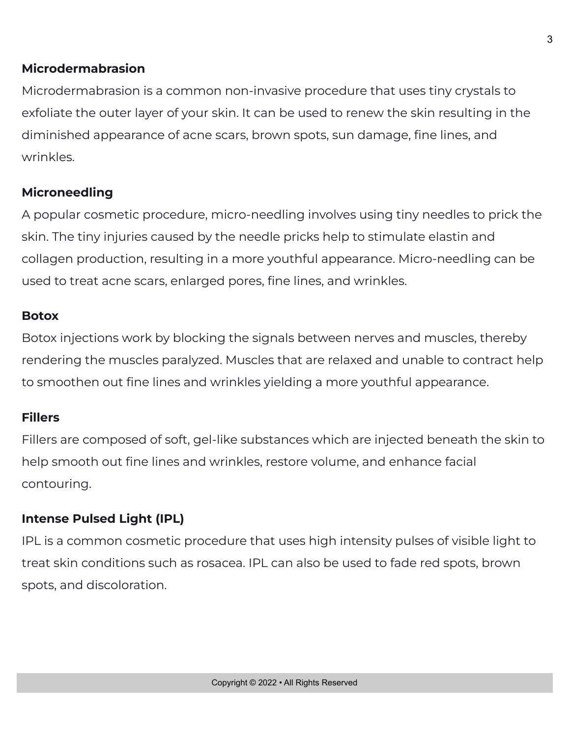#### **Microdermabrasion**

Microdermabrasion is a common non-invasive procedure that uses tiny crystals to exfoliate the outer layer of your skin. It can be used to renew the skin resulting in the diminished appearance of acne scars, brown spots, sun damage, fine lines, and wrinkles.

#### **Microneedling**

A popular cosmetic procedure, micro-needling involves using tiny needles to prick the skin. The tiny injuries caused by the needle pricks help to stimulate elastin and collagen production, resulting in a more youthful appearance. Micro-needling can be used to treat acne scars, enlarged pores, fine lines, and wrinkles.

#### **Botox**

Botox injections work by blocking the signals between nerves and muscles, thereby rendering the muscles paralyzed. Muscles that are relaxed and unable to contract help to smoothen out fine lines and wrinkles yielding a more youthful appearance.

#### **Fillers**

Fillers are composed of soft, gel-like substances which are injected beneath the skin to help smooth out fine lines and wrinkles, restore volume, and enhance facial contouring.

#### **Intense Pulsed Light (IPL)**

IPL is a common cosmetic procedure that uses high intensity pulses of visible light to treat skin conditions such as rosacea. IPL can also be used to fade red spots, brown spots, and discoloration.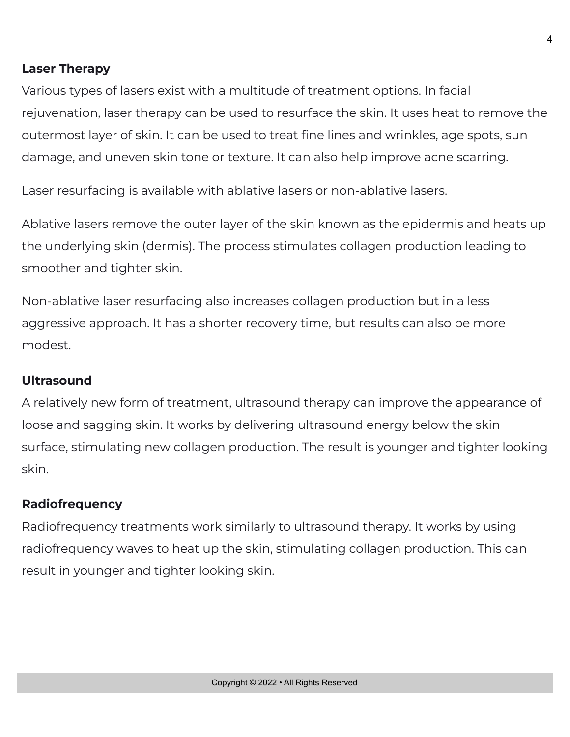#### **Laser Therapy**

Various types of lasers exist with a multitude of treatment options. In facial rejuvenation, laser therapy can be used to resurface the skin. It uses heat to remove the outermost layer of skin. It can be used to treat fine lines and wrinkles, age spots, sun damage, and uneven skin tone or texture. It can also help improve acne scarring.

Laser resurfacing is available with ablative lasers or non-ablative lasers.

Ablative lasers remove the outer layer of the skin known as the epidermis and heats up the underlying skin (dermis). The process stimulates collagen production leading to smoother and tighter skin.

Non-ablative laser resurfacing also increases collagen production but in a less aggressive approach. It has a shorter recovery time, but results can also be more modest.

#### **Ultrasound**

A relatively new form of treatment, ultrasound therapy can improve the appearance of loose and sagging skin. It works by delivering ultrasound energy below the skin surface, stimulating new collagen production. The result is younger and tighter looking skin.

#### **Radiofrequency**

Radiofrequency treatments work similarly to ultrasound therapy. It works by using radiofrequency waves to heat up the skin, stimulating collagen production. This can result in younger and tighter looking skin.